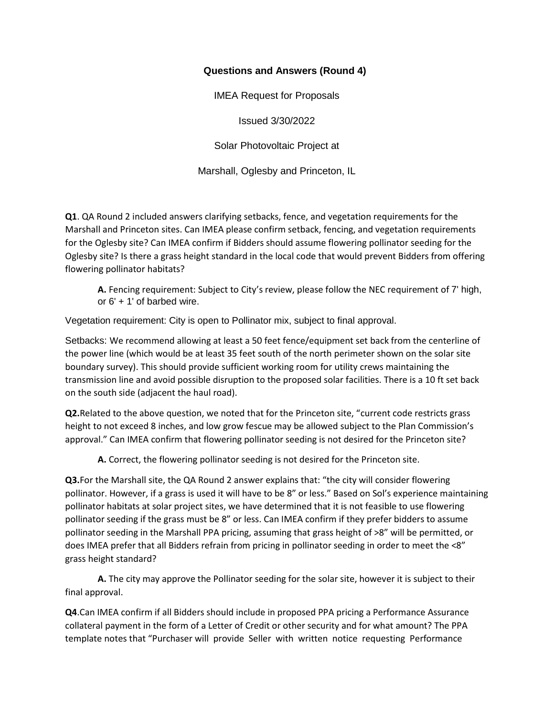## **Questions and Answers (Round 4)**

IMEA Request for Proposals

Issued 3/30/2022

Solar Photovoltaic Project at

Marshall, Oglesby and Princeton, IL

**Q1**. QA Round 2 included answers clarifying setbacks, fence, and vegetation requirements for the Marshall and Princeton sites. Can IMEA please confirm setback, fencing, and vegetation requirements for the Oglesby site? Can IMEA confirm if Bidders should assume flowering pollinator seeding for the Oglesby site? Is there a grass height standard in the local code that would prevent Bidders from offering flowering pollinator habitats?

**A.** Fencing requirement: Subject to City's review, please follow the NEC requirement of 7' high, or 6' + 1' of barbed wire.

Vegetation requirement: City is open to Pollinator mix, subject to final approval.

Setbacks: We recommend allowing at least a 50 feet fence/equipment set back from the centerline of the power line (which would be at least 35 feet south of the north perimeter shown on the solar site boundary survey). This should provide sufficient working room for utility crews maintaining the transmission line and avoid possible disruption to the proposed solar facilities. There is a 10 ft set back on the south side (adjacent the haul road).

**Q2.**Related to the above question, we noted that for the Princeton site, "current code restricts grass height to not exceed 8 inches, and low grow fescue may be allowed subject to the Plan Commission's approval." Can IMEA confirm that flowering pollinator seeding is not desired for the Princeton site?

**A.** Correct, the flowering pollinator seeding is not desired for the Princeton site.

**Q3.**For the Marshall site, the QA Round 2 answer explains that: "the city will consider flowering pollinator. However, if a grass is used it will have to be 8" or less." Based on Sol's experience maintaining pollinator habitats at solar project sites, we have determined that it is not feasible to use flowering pollinator seeding if the grass must be 8" or less. Can IMEA confirm if they prefer bidders to assume pollinator seeding in the Marshall PPA pricing, assuming that grass height of >8" will be permitted, or does IMEA prefer that all Bidders refrain from pricing in pollinator seeding in order to meet the <8" grass height standard?

**A.** The city may approve the Pollinator seeding for the solar site, however it is subject to their final approval.

**Q4**.Can IMEA confirm if all Bidders should include in proposed PPA pricing a Performance Assurance collateral payment in the form of a Letter of Credit or other security and for what amount? The PPA template notes that "Purchaser will provide Seller with written notice requesting Performance